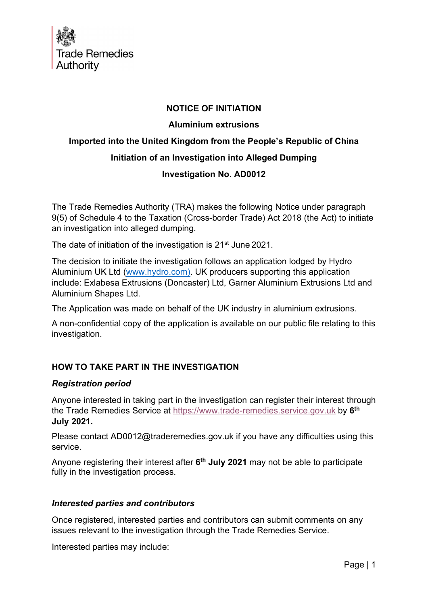

# NOTICE OF INITIATION

#### Aluminium extrusions

# Imported into the United Kingdom from the People's Republic of China Initiation of an Investigation into Alleged Dumping

# Investigation No. AD0012

The Trade Remedies Authority (TRA) makes the following Notice under paragraph 9(5) of Schedule 4 to the Taxation (Cross-border Trade) Act 2018 (the Act) to initiate an investigation into alleged dumping.

The date of initiation of the investigation is 21<sup>st</sup> June 2021.

The decision to initiate the investigation follows an application lodged by Hydro Aluminium UK Ltd (www.hydro.com). UK producers supporting this application include: Exlabesa Extrusions (Doncaster) Ltd, Garner Aluminium Extrusions Ltd and Aluminium Shapes Ltd.

The Application was made on behalf of the UK industry in aluminium extrusions.

A non-confidential copy of the application is available on our public file relating to this investigation.

# HOW TO TAKE PART IN THE INVESTIGATION

#### Registration period

Anyone interested in taking part in the investigation can register their interest through the Trade Remedies Service at https://www.trade-remedies.service.gov.uk by 6<sup>th</sup> July 2021.

Please contact AD0012@traderemedies.gov.uk if you have any difficulties using this service.

Anyone registering their interest after 6<sup>th</sup> July 2021 may not be able to participate fully in the investigation process.

#### Interested parties and contributors

Once registered, interested parties and contributors can submit comments on any issues relevant to the investigation through the Trade Remedies Service.

Interested parties may include: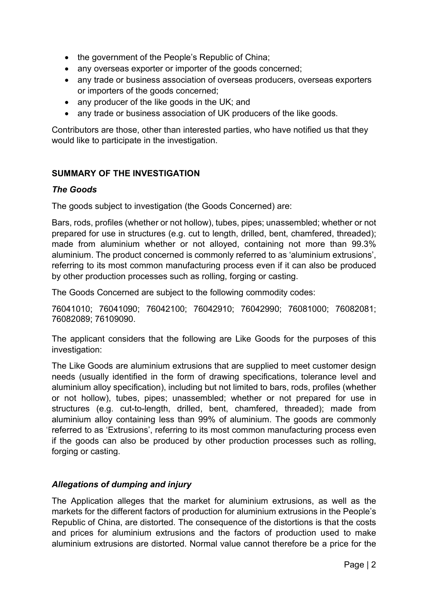- the government of the People's Republic of China;
- any overseas exporter or importer of the goods concerned;
- any trade or business association of overseas producers, overseas exporters or importers of the goods concerned;
- any producer of the like goods in the UK; and
- any trade or business association of UK producers of the like goods.

Contributors are those, other than interested parties, who have notified us that they would like to participate in the investigation.

# SUMMARY OF THE INVESTIGATION

#### The Goods

The goods subject to investigation (the Goods Concerned) are:

Bars, rods, profiles (whether or not hollow), tubes, pipes; unassembled; whether or not prepared for use in structures (e.g. cut to length, drilled, bent, chamfered, threaded); made from aluminium whether or not alloyed, containing not more than 99.3% aluminium. The product concerned is commonly referred to as 'aluminium extrusions', referring to its most common manufacturing process even if it can also be produced by other production processes such as rolling, forging or casting.

The Goods Concerned are subject to the following commodity codes:

76041010; 76041090; 76042100; 76042910; 76042990; 76081000; 76082081; 76082089; 76109090.

The applicant considers that the following are Like Goods for the purposes of this investigation:

The Like Goods are aluminium extrusions that are supplied to meet customer design needs (usually identified in the form of drawing specifications, tolerance level and aluminium alloy specification), including but not limited to bars, rods, profiles (whether or not hollow), tubes, pipes; unassembled; whether or not prepared for use in structures (e.g. cut-to-length, drilled, bent, chamfered, threaded); made from aluminium alloy containing less than 99% of aluminium. The goods are commonly referred to as 'Extrusions', referring to its most common manufacturing process even if the goods can also be produced by other production processes such as rolling, forging or casting.

# Allegations of dumping and injury

The Application alleges that the market for aluminium extrusions, as well as the markets for the different factors of production for aluminium extrusions in the People's Republic of China, are distorted. The consequence of the distortions is that the costs and prices for aluminium extrusions and the factors of production used to make aluminium extrusions are distorted. Normal value cannot therefore be a price for the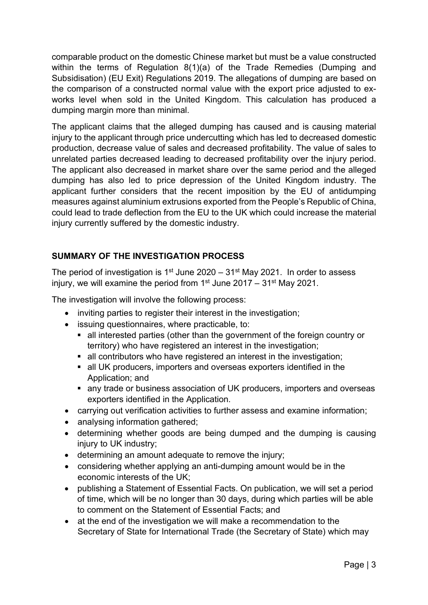comparable product on the domestic Chinese market but must be a value constructed within the terms of Regulation 8(1)(a) of the Trade Remedies (Dumping and Subsidisation) (EU Exit) Regulations 2019. The allegations of dumping are based on the comparison of a constructed normal value with the export price adjusted to exworks level when sold in the United Kingdom. This calculation has produced a dumping margin more than minimal.

The applicant claims that the alleged dumping has caused and is causing material injury to the applicant through price undercutting which has led to decreased domestic production, decrease value of sales and decreased profitability. The value of sales to unrelated parties decreased leading to decreased profitability over the injury period. The applicant also decreased in market share over the same period and the alleged dumping has also led to price depression of the United Kingdom industry. The applicant further considers that the recent imposition by the EU of antidumping measures against aluminium extrusions exported from the People's Republic of China, could lead to trade deflection from the EU to the UK which could increase the material injury currently suffered by the domestic industry.

# SUMMARY OF THE INVESTIGATION PROCESS

The period of investigation is 1<sup>st</sup> June 2020 – 31<sup>st</sup> May 2021. In order to assess injury, we will examine the period from  $1<sup>st</sup>$  June 2017 – 31 $<sup>st</sup>$  May 2021.</sup>

The investigation will involve the following process:

- inviting parties to register their interest in the investigation;
- issuing questionnaires, where practicable, to:
	- all interested parties (other than the government of the foreign country or territory) who have registered an interest in the investigation;
	- all contributors who have registered an interest in the investigation;
	- all UK producers, importers and overseas exporters identified in the Application; and
	- any trade or business association of UK producers, importers and overseas exporters identified in the Application.
- carrying out verification activities to further assess and examine information;
- analysing information gathered:
- determining whether goods are being dumped and the dumping is causing injury to UK industry;
- determining an amount adequate to remove the injury;
- considering whether applying an anti-dumping amount would be in the economic interests of the UK;
- publishing a Statement of Essential Facts. On publication, we will set a period of time, which will be no longer than 30 days, during which parties will be able to comment on the Statement of Essential Facts; and
- at the end of the investigation we will make a recommendation to the Secretary of State for International Trade (the Secretary of State) which may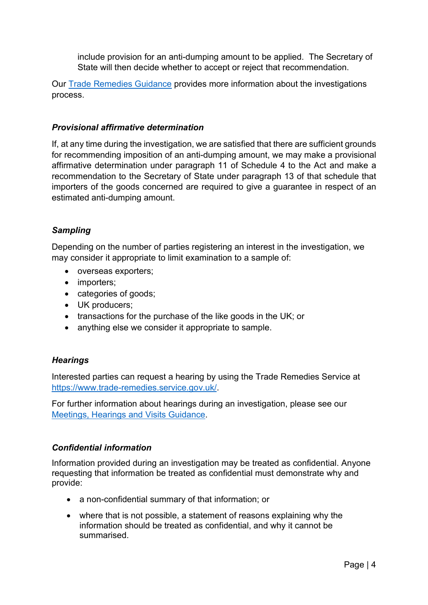include provision for an anti-dumping amount to be applied. The Secretary of State will then decide whether to accept or reject that recommendation.

Our Trade Remedies Guidance provides more information about the investigations process.

## Provisional affirmative determination

If, at any time during the investigation, we are satisfied that there are sufficient grounds for recommending imposition of an anti-dumping amount, we may make a provisional affirmative determination under paragraph 11 of Schedule 4 to the Act and make a recommendation to the Secretary of State under paragraph 13 of that schedule that importers of the goods concerned are required to give a guarantee in respect of an estimated anti-dumping amount.

# **Sampling**

Depending on the number of parties registering an interest in the investigation, we may consider it appropriate to limit examination to a sample of:

- overseas exporters;
- importers;
- categories of goods;
- UK producers;
- transactions for the purchase of the like goods in the UK; or
- anything else we consider it appropriate to sample.

# **Hearings**

Interested parties can request a hearing by using the Trade Remedies Service at https://www.trade-remedies.service.gov.uk/.

For further information about hearings during an investigation, please see our Meetings, Hearings and Visits Guidance.

# Confidential information

Information provided during an investigation may be treated as confidential. Anyone requesting that information be treated as confidential must demonstrate why and provide:

- a non-confidential summary of that information; or
- where that is not possible, a statement of reasons explaining why the information should be treated as confidential, and why it cannot be summarised.